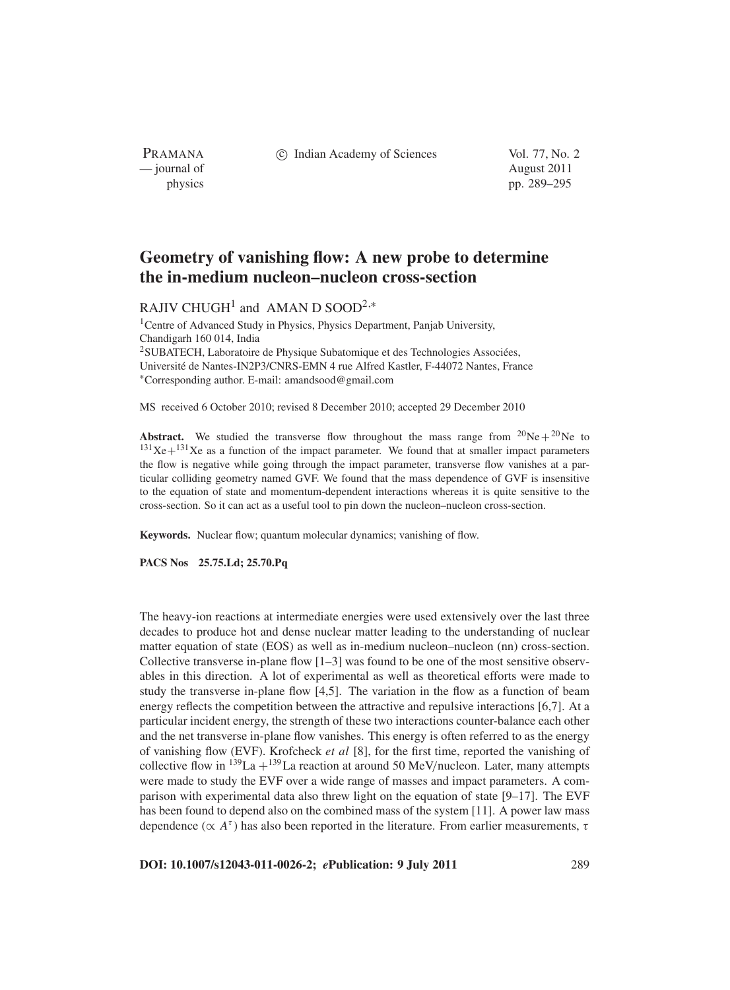c Indian Academy of Sciences Vol. 77, No. 2

PRAMANA — journal of August 2011

physics pp. 289–295

# **Geometry of vanishing flow: A new probe to determine the in-medium nucleon–nucleon cross-section**

RAJIV CHUGH<sup>1</sup> and AMAN D SOOD<sup>2,\*</sup>

<sup>1</sup> Centre of Advanced Study in Physics, Physics Department, Panjab University, Chandigarh 160 014, India <sup>2</sup>SUBATECH, Laboratoire de Physique Subatomique et des Technologies Associées, Université de Nantes-IN2P3/CNRS-EMN 4 rue Alfred Kastler, F-44072 Nantes, France <sup>∗</sup>Corresponding author. E-mail: amandsood@gmail.com

MS received 6 October 2010; revised 8 December 2010; accepted 29 December 2010

**Abstract.** We studied the transverse flow throughout the mass range from  ${}^{20}Ne + {}^{20}Ne$  to  $131Xe+131Xe$  as a function of the impact parameter. We found that at smaller impact parameters the flow is negative while going through the impact parameter, transverse flow vanishes at a particular colliding geometry named GVF. We found that the mass dependence of GVF is insensitive to the equation of state and momentum-dependent interactions whereas it is quite sensitive to the cross-section. So it can act as a useful tool to pin down the nucleon–nucleon cross-section.

**Keywords.** Nuclear flow; quantum molecular dynamics; vanishing of flow.

**PACS Nos 25.75.Ld; 25.70.Pq**

The heavy-ion reactions at intermediate energies were used extensively over the last three decades to produce hot and dense nuclear matter leading to the understanding of nuclear matter equation of state (EOS) as well as in-medium nucleon–nucleon (nn) cross-section. Collective transverse in-plane flow  $[1-3]$  was found to be one of the most sensitive observables in this direction. A lot of experimental as well as theoretical efforts were made to study the transverse in-plane flow [4,5]. The variation in the flow as a function of beam energy reflects the competition between the attractive and repulsive interactions [6,7]. At a particular incident energy, the strength of these two interactions counter-balance each other and the net transverse in-plane flow vanishes. This energy is often referred to as the energy of vanishing flow (EVF). Krofcheck *et al* [8], for the first time, reported the vanishing of collective flow in  $^{139}$ La  $+^{139}$ La reaction at around 50 MeV/nucleon. Later, many attempts were made to study the EVF over a wide range of masses and impact parameters. A comparison with experimental data also threw light on the equation of state [9–17]. The EVF has been found to depend also on the combined mass of the system [11]. A power law mass dependence ( $\propto A^{\tau}$ ) has also been reported in the literature. From earlier measurements,  $\tau$ 

**DOI: 10.1007/s12043-011-0026-2;** *e***Publication: 9 July 2011** 289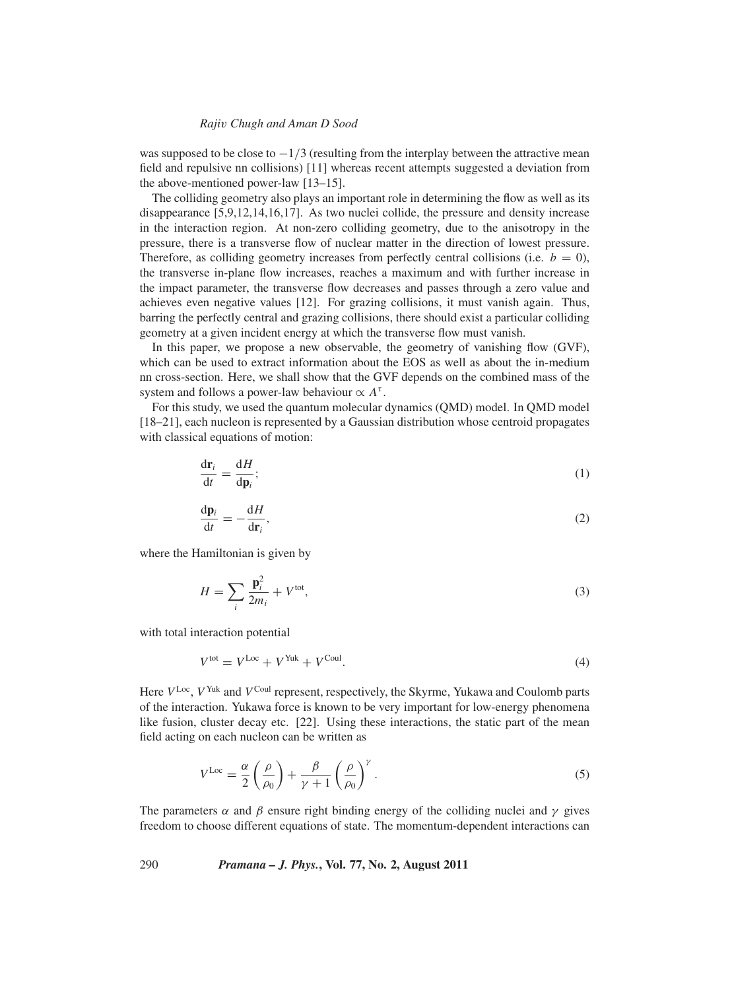# *Raji*v *Chugh and Aman D Sood*

was supposed to be close to  $-1/3$  (resulting from the interplay between the attractive mean field and repulsive nn collisions) [11] whereas recent attempts suggested a deviation from the above-mentioned power-law [13–15].

The colliding geometry also plays an important role in determining the flow as well as its disappearance [5,9,12,14,16,17]. As two nuclei collide, the pressure and density increase in the interaction region. At non-zero colliding geometry, due to the anisotropy in the pressure, there is a transverse flow of nuclear matter in the direction of lowest pressure. Therefore, as colliding geometry increases from perfectly central collisions (i.e.  $b = 0$ ), the transverse in-plane flow increases, reaches a maximum and with further increase in the impact parameter, the transverse flow decreases and passes through a zero value and achieves even negative values [12]. For grazing collisions, it must vanish again. Thus, barring the perfectly central and grazing collisions, there should exist a particular colliding geometry at a given incident energy at which the transverse flow must vanish.

In this paper, we propose a new observable, the geometry of vanishing flow (GVF), which can be used to extract information about the EOS as well as about the in-medium nn cross-section. Here, we shall show that the GVF depends on the combined mass of the system and follows a power-law behaviour  $\propto A^{\tau}$ .

For this study, we used the quantum molecular dynamics (QMD) model. In QMD model [18–21], each nucleon is represented by a Gaussian distribution whose centroid propagates with classical equations of motion:

$$
\frac{\mathrm{d}\mathbf{r}_i}{\mathrm{d}t} = \frac{\mathrm{d}H}{\mathrm{d}\mathbf{p}_i};\tag{1}
$$

$$
\frac{\mathrm{d}\mathbf{p}_i}{\mathrm{d}t} = -\frac{\mathrm{d}H}{\mathrm{d}\mathbf{r}_i},\tag{2}
$$

where the Hamiltonian is given by

$$
H = \sum_{i} \frac{\mathbf{p}_i^2}{2m_i} + V^{\text{tot}},\tag{3}
$$

with total interaction potential

$$
V^{\text{tot}} = V^{\text{Loc}} + V^{\text{Yuk}} + V^{\text{Coul}}.\tag{4}
$$

Here  $V^{\text{Loc}}$ ,  $V^{\text{Yuk}}$  and  $V^{\text{Coul}}$  represent, respectively, the Skyrme, Yukawa and Coulomb parts of the interaction. Yukawa force is known to be very important for low-energy phenomena like fusion, cluster decay etc. [22]. Using these interactions, the static part of the mean field acting on each nucleon can be written as

$$
V^{\text{Loc}} = \frac{\alpha}{2} \left( \frac{\rho}{\rho_0} \right) + \frac{\beta}{\gamma + 1} \left( \frac{\rho}{\rho_0} \right)^{\gamma} . \tag{5}
$$

The parameters  $\alpha$  and  $\beta$  ensure right binding energy of the colliding nuclei and  $\gamma$  gives freedom to choose different equations of state. The momentum-dependent interactions can

290 *Pramana – J. Phys.***, Vol. 77, No. 2, August 2011**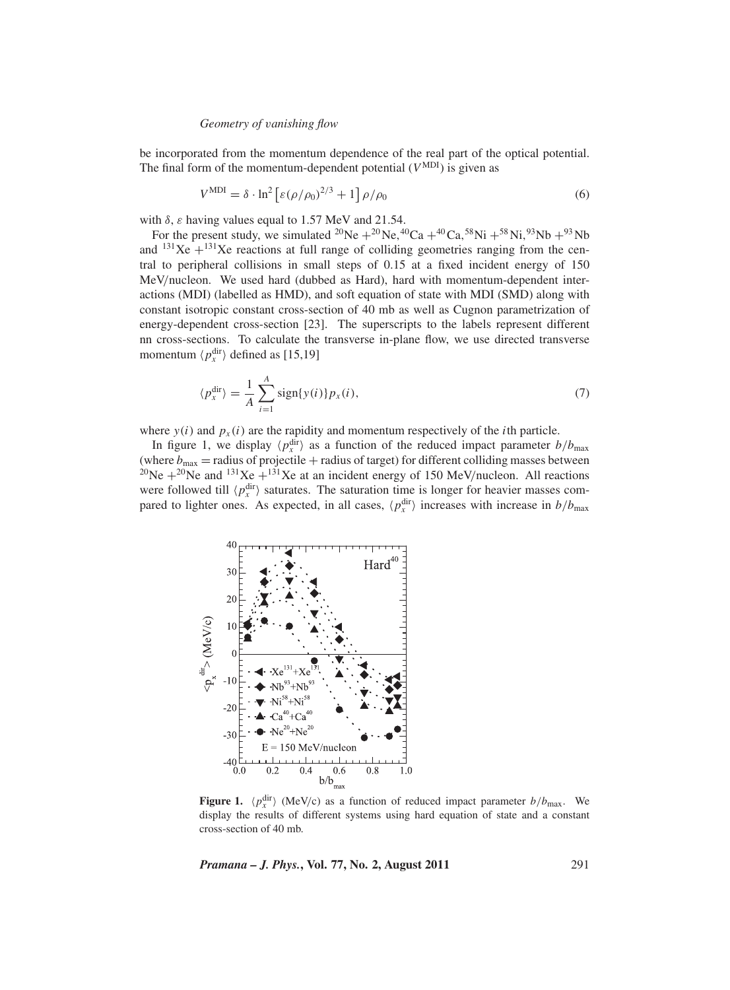# *Geometry of* v*anishing flow*

be incorporated from the momentum dependence of the real part of the optical potential. The final form of the momentum-dependent potential  $(V^{MDI})$  is given as

$$
V^{\text{MDI}} = \delta \cdot \ln^2 \left[ \varepsilon (\rho / \rho_0)^{2/3} + 1 \right] \rho / \rho_0 \tag{6}
$$

with  $\delta$ ,  $\varepsilon$  having values equal to 1.57 MeV and 21.54.

For the present study, we simulated <sup>20</sup>Ne +<sup>20</sup>Ne,<sup>40</sup>Ca +<sup>40</sup>Ca,<sup>58</sup>Ni +<sup>58</sup>Ni,<sup>93</sup>Nb +<sup>93</sup>Nb and  $^{131}$ Xe + $^{131}$ Xe reactions at full range of colliding geometries ranging from the central to peripheral collisions in small steps of 0.15 at a fixed incident energy of 150 MeV/nucleon. We used hard (dubbed as Hard), hard with momentum-dependent interactions (MDI) (labelled as HMD), and soft equation of state with MDI (SMD) along with constant isotropic constant cross-section of 40 mb as well as Cugnon parametrization of energy-dependent cross-section [23]. The superscripts to the labels represent different nn cross-sections. To calculate the transverse in-plane flow, we use directed transverse momentum  $\langle p_x^{\text{dir}} \rangle$  defined as [15,19]

$$
\langle p_x^{\text{dir}} \rangle = \frac{1}{A} \sum_{i=1}^{A} \text{sign}\{y(i)\} p_x(i),\tag{7}
$$

where  $y(i)$  and  $p_x(i)$  are the rapidity and momentum respectively of the *i*th particle.

In figure 1, we display  $\langle p_x^{\text{dir}} \rangle$  as a function of the reduced impact parameter  $b/b_{\text{max}}$ (where  $b_{\text{max}}$  = radius of projectile + radius of target) for different colliding masses between <sup>20</sup>Ne  $+^{20}$ Ne and <sup>131</sup>Xe +<sup>131</sup>Xe at an incident energy of 150 MeV/nucleon. All reactions were followed till  $\langle p_x^{\text{dir}} \rangle$  saturates. The saturation time is longer for heavier masses compared to lighter ones. As expected, in all cases,  $\langle p_x^{\text{dir}} \rangle$  increases with increase in  $b/b_{\text{max}}$ 



**Figure 1.**  $\langle p_x^{\text{dir}} \rangle$  (MeV/c) as a function of reduced impact parameter  $b/b_{\text{max}}$ . We display the results of different systems using hard equation of state and a constant cross-section of 40 mb.

*Pramana – J. Phys.***, Vol. 77, No. 2, August 2011** 291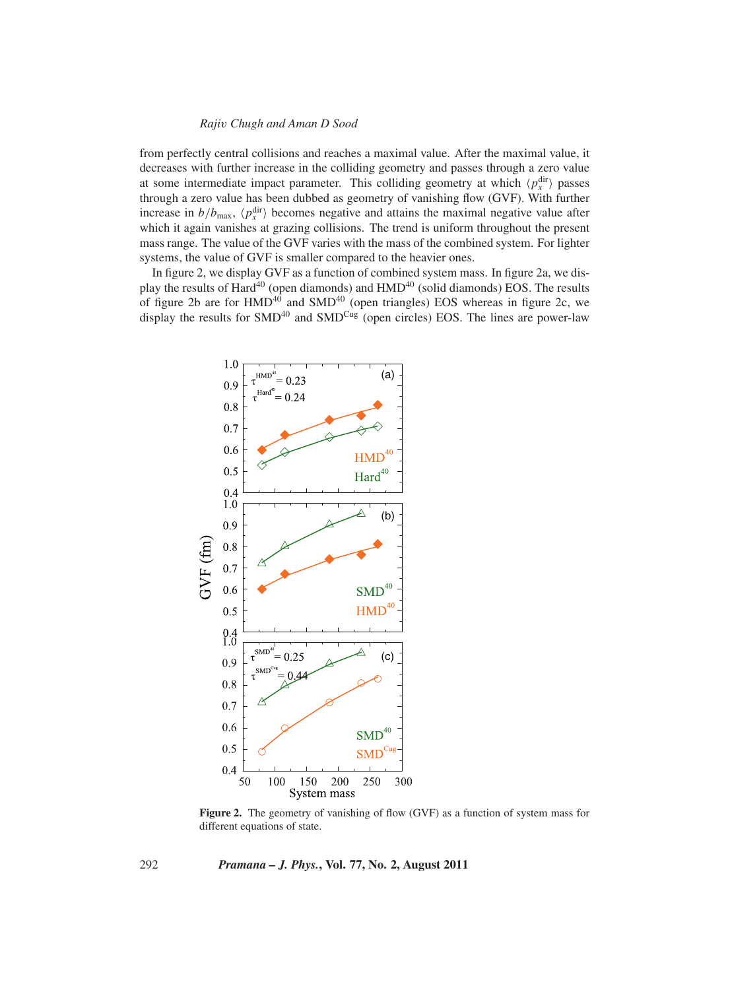# *Raji*v *Chugh and Aman D Sood*

from perfectly central collisions and reaches a maximal value. After the maximal value, it decreases with further increase in the colliding geometry and passes through a zero value at some intermediate impact parameter. This colliding geometry at which  $\langle p_x^{\text{dir}} \rangle$  passes through a zero value has been dubbed as geometry of vanishing flow (GVF). With further increase in  $b/b_{\text{max}}$ ,  $\langle p_x^{\text{dir}} \rangle$  becomes negative and attains the maximal negative value after which it again vanishes at grazing collisions. The trend is uniform throughout the present mass range. The value of the GVF varies with the mass of the combined system. For lighter systems, the value of GVF is smaller compared to the heavier ones.

In figure 2, we display GVF as a function of combined system mass. In figure 2a, we display the results of Hard<sup>40</sup> (open diamonds) and HMD<sup>40</sup> (solid diamonds) EOS. The results of figure 2b are for  $HMD^{40}$  and  $SMD^{40}$  (open triangles) EOS whereas in figure 2c, we display the results for  $SMD^{40}$  and  $SMD^{Cug}$  (open circles) EOS. The lines are power-law



**Figure 2.** The geometry of vanishing of flow (GVF) as a function of system mass for different equations of state.

292 *Pramana – J. Phys.***, Vol. 77, No. 2, August 2011**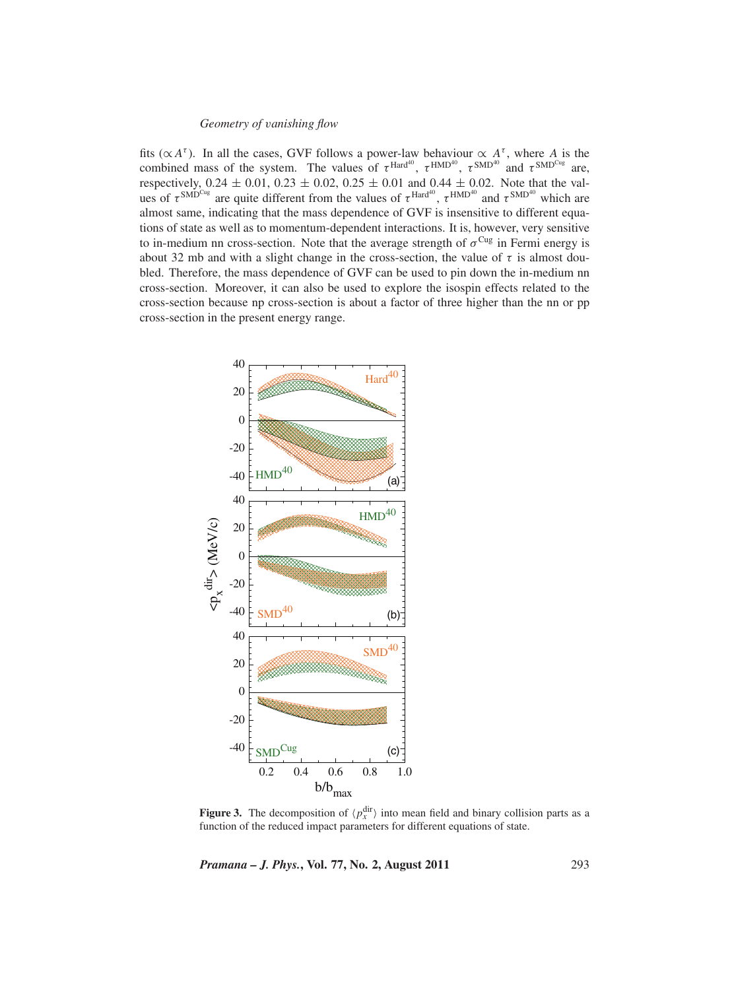# *Geometry of* v*anishing flow*

fits ( $\propto A^{\tau}$ ). In all the cases, GVF follows a power-law behaviour  $\propto A^{\tau}$ , where *A* is the combined mass of the system. The values of  $\tau^{\text{Hard}^{40}}$ ,  $\tau^{\text{HMD}^{40}}$ ,  $\tau^{\text{SMD}^{40}}$  and  $\tau^{\text{SMD}^{Cug}}$  are, respectively,  $0.24 \pm 0.01$ ,  $0.23 \pm 0.02$ ,  $0.25 \pm 0.01$  and  $0.44 \pm 0.02$ . Note that the values of  $\tau^{\text{SMD}^{\text{Cug}}}$  are quite different from the values of  $\tau^{\text{Hard}^{40}}$ ,  $\tau^{\text{HMD}^{40}}$  and  $\tau^{\text{SMD}^{40}}$  which are almost same, indicating that the mass dependence of GVF is insensitive to different equations of state as well as to momentum-dependent interactions. It is, however, very sensitive to in-medium nn cross-section. Note that the average strength of  $\sigma^{Cug}$  in Fermi energy is about 32 mb and with a slight change in the cross-section, the value of  $\tau$  is almost doubled. Therefore, the mass dependence of GVF can be used to pin down the in-medium nn cross-section. Moreover, it can also be used to explore the isospin effects related to the cross-section because np cross-section is about a factor of three higher than the nn or pp cross-section in the present energy range.



**Figure 3.** The decomposition of  $\langle p_x^{\text{dir}} \rangle$  into mean field and binary collision parts as a function of the reduced impact parameters for different equations of state.

*Pramana – J. Phys.***, Vol. 77, No. 2, August 2011** 293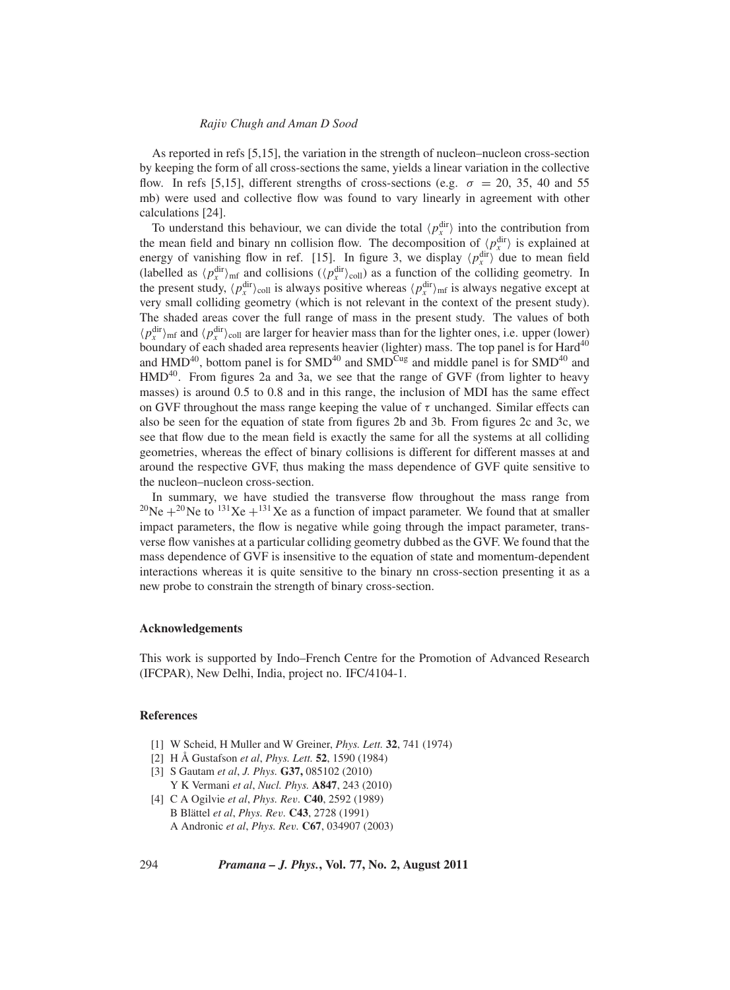#### *Raji*v *Chugh and Aman D Sood*

As reported in refs [5,15], the variation in the strength of nucleon–nucleon cross-section by keeping the form of all cross-sections the same, yields a linear variation in the collective flow. In refs [5,15], different strengths of cross-sections (e.g.  $\sigma = 20, 35, 40,$  and 55 mb) were used and collective flow was found to vary linearly in agreement with other calculations [24].

To understand this behaviour, we can divide the total  $\langle p_x^{\text{dir}} \rangle$  into the contribution from the mean field and binary nn collision flow. The decomposition of  $\langle p_x^{\text{dir}} \rangle$  is explained at energy of vanishing flow in ref. [15]. In figure 3, we display  $\langle p_x^{\text{dir}} \rangle$  due to mean field (labelled as  $\langle p_x^{\text{dir}} \rangle_{\text{mf}}$  and collisions  $(\langle p_x^{\text{dir}} \rangle_{\text{coll}})$  as a function of the colliding geometry. In the present study,  $\langle p_x^{\text{dir}} \rangle_{\text{coll}}$  is always positive whereas  $\langle p_x^{\text{dir}} \rangle_{\text{mf}}$  is always negative except at very small colliding geometry (which is not relevant in the context of the present study). The shaded areas cover the full range of mass in the present study. The values of both  $\langle p_x^{\text{dir}} \rangle_{\text{mf}}$  and  $\langle p_x^{\text{dir}} \rangle_{\text{coll}}$  are larger for heavier mass than for the lighter ones, i.e. upper (lower) boundary of each shaded area represents heavier (lighter) mass. The top panel is for Hard<sup>40</sup> and  $HMD^{40}$ , bottom panel is for  $SMD^{40}$  and  $SMD^{Cug}$  and middle panel is for  $SMD^{40}$  and  $HMD<sup>40</sup>$ . From figures 2a and 3a, we see that the range of GVF (from lighter to heavy masses) is around 0.5 to 0.8 and in this range, the inclusion of MDI has the same effect on GVF throughout the mass range keeping the value of  $\tau$  unchanged. Similar effects can also be seen for the equation of state from figures 2b and 3b. From figures 2c and 3c, we see that flow due to the mean field is exactly the same for all the systems at all colliding geometries, whereas the effect of binary collisions is different for different masses at and around the respective GVF, thus making the mass dependence of GVF quite sensitive to the nucleon–nucleon cross-section.

In summary, we have studied the transverse flow throughout the mass range from <sup>20</sup>Ne +<sup>20</sup>Ne to <sup>131</sup>Xe +<sup>131</sup>Xe as a function of impact parameter. We found that at smaller impact parameters, the flow is negative while going through the impact parameter, transverse flow vanishes at a particular colliding geometry dubbed as the GVF. We found that the mass dependence of GVF is insensitive to the equation of state and momentum-dependent interactions whereas it is quite sensitive to the binary nn cross-section presenting it as a new probe to constrain the strength of binary cross-section.

### **Acknowledgements**

This work is supported by Indo–French Centre for the Promotion of Advanced Research (IFCPAR), New Delhi, India, project no. IFC/4104-1.

## **References**

- [1] W Scheid, H Muller and W Greiner, *Phys. Lett.* **32**, 741 (1974)
- [2] H Å Gustafson *et al*, *Phys. Lett.* **52**, 1590 (1984)
- [3] S Gautam *et al*, *J. Phys.* **G37,** 085102 (2010)
- Y K Vermani *et al*, *Nucl. Phys.* **A847**, 243 (2010) [4] C A Ogilvie *et al*, *Phys. Re*v*.* **C40**, 2592 (1989) B Blättel *et al*, *Phys. Re*v*.* **C43**, 2728 (1991)
	- A Andronic *et al*, *Phys. Re*v*.* **C67**, 034907 (2003)

294 *Pramana – J. Phys.***, Vol. 77, No. 2, August 2011**